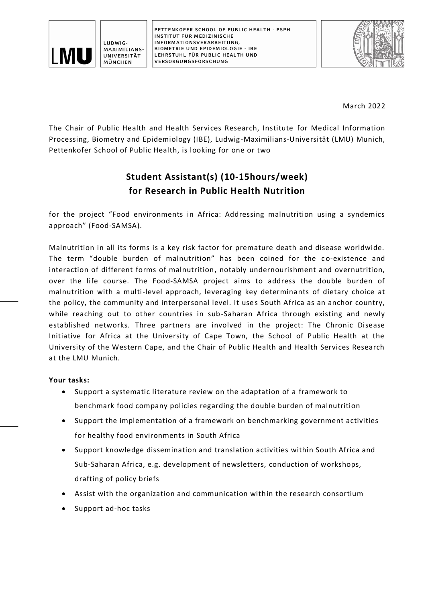

**PETTENKOFER SCHOOL OF PUBLIC HEALTH - PSPH INSTITUT FÜR MEDIZINISCHE INFORMATIONSVERARBEITUNG, BIOMETRIE UND EPIDEMIOLOGIE - IBE LEHRSTUHL FÜR PUBLIC HEALTH UND VERSORGUNGSFORSCHUNG**



March 2022

The Chair of Public Health and Health Services Research, Institute for Medical Information Processing, Biometry and Epidemiology (IBE), Ludwig-Maximilians-Universität (LMU) Munich, Pettenkofer School of Public Health, is looking for one or two

## **Student Assistant(s) (10-15hours/week) for Research in Public Health Nutrition**

for the project "Food environments in Africa: Addressing malnutrition using a syndemics approach" (Food-SAMSA).

Malnutrition in all its forms is a key risk factor for premature death and disease worldwide. The term "double burden of malnutrition" has been coined for the co-existence and interaction of different forms of malnutrition, notably undernourishment and overnutrition, over the life course. The Food-SAMSA project aims to address the double burden of malnutrition with a multi-level approach, leveraging key determinants of dietary choice at the policy, the community and interpersonal level. It uses South Africa as an anchor country, while reaching out to other countries in sub-Saharan Africa through existing and newly established networks. Three partners are involved in the project: The Chronic Disease Initiative for Africa at the University of Cape Town, the School of Public Health at the University of the Western Cape, and the Chair of Public Health and Health Services Research at the LMU Munich.

## **Your tasks:**

- Support a systematic literature review on the adaptation of a framework to benchmark food company policies regarding the double burden of malnutrition
- Support the implementation of a framework on benchmarking government activities for healthy food environments in South Africa
- Support knowledge dissemination and translation activities within South Africa and Sub-Saharan Africa, e.g. development of newsletters, conduction of workshops, drafting of policy briefs
- Assist with the organization and communication within the research consortium
- Support ad-hoc tasks